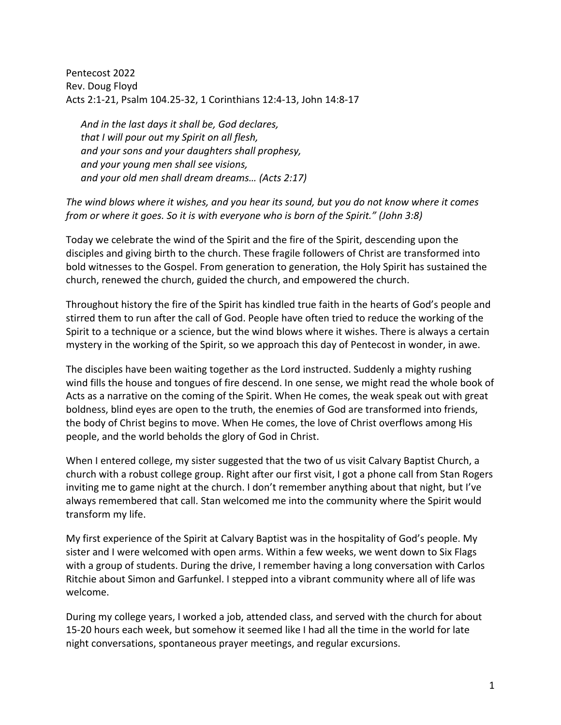Pentecost 2022 Rev. Doug Floyd Acts 2:1-21, Psalm 104.25-32, 1 Corinthians 12:4-13, John 14:8-17

 *And in the last days it shall be, God declares, that I will pour out my Spirit on all flesh, and your sons and your daughters shall prophesy, and your young men shall see visions, and your old men shall dream dreams… (Acts 2:17)*

*The wind blows where it wishes, and you hear its sound, but you do not know where it comes from or where it goes. So it is with everyone who is born of the Spirit." (John 3:8)*

Today we celebrate the wind of the Spirit and the fire of the Spirit, descending upon the disciples and giving birth to the church. These fragile followers of Christ are transformed into bold witnesses to the Gospel. From generation to generation, the Holy Spirit has sustained the church, renewed the church, guided the church, and empowered the church.

Throughout history the fire of the Spirit has kindled true faith in the hearts of God's people and stirred them to run after the call of God. People have often tried to reduce the working of the Spirit to a technique or a science, but the wind blows where it wishes. There is always a certain mystery in the working of the Spirit, so we approach this day of Pentecost in wonder, in awe.

The disciples have been waiting together as the Lord instructed. Suddenly a mighty rushing wind fills the house and tongues of fire descend. In one sense, we might read the whole book of Acts as a narrative on the coming of the Spirit. When He comes, the weak speak out with great boldness, blind eyes are open to the truth, the enemies of God are transformed into friends, the body of Christ begins to move. When He comes, the love of Christ overflows among His people, and the world beholds the glory of God in Christ.

When I entered college, my sister suggested that the two of us visit Calvary Baptist Church, a church with a robust college group. Right after our first visit, I got a phone call from Stan Rogers inviting me to game night at the church. I don't remember anything about that night, but I've always remembered that call. Stan welcomed me into the community where the Spirit would transform my life.

My first experience of the Spirit at Calvary Baptist was in the hospitality of God's people. My sister and I were welcomed with open arms. Within a few weeks, we went down to Six Flags with a group of students. During the drive, I remember having a long conversation with Carlos Ritchie about Simon and Garfunkel. I stepped into a vibrant community where all of life was welcome.

During my college years, I worked a job, attended class, and served with the church for about 15-20 hours each week, but somehow it seemed like I had all the time in the world for late night conversations, spontaneous prayer meetings, and regular excursions.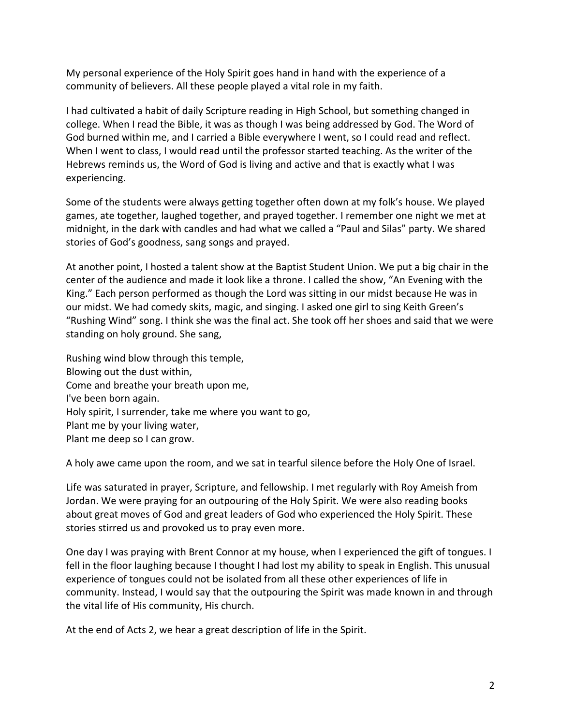My personal experience of the Holy Spirit goes hand in hand with the experience of a community of believers. All these people played a vital role in my faith.

I had cultivated a habit of daily Scripture reading in High School, but something changed in college. When I read the Bible, it was as though I was being addressed by God. The Word of God burned within me, and I carried a Bible everywhere I went, so I could read and reflect. When I went to class, I would read until the professor started teaching. As the writer of the Hebrews reminds us, the Word of God is living and active and that is exactly what I was experiencing.

Some of the students were always getting together often down at my folk's house. We played games, ate together, laughed together, and prayed together. I remember one night we met at midnight, in the dark with candles and had what we called a "Paul and Silas" party. We shared stories of God's goodness, sang songs and prayed.

At another point, I hosted a talent show at the Baptist Student Union. We put a big chair in the center of the audience and made it look like a throne. I called the show, "An Evening with the King." Each person performed as though the Lord was sitting in our midst because He was in our midst. We had comedy skits, magic, and singing. I asked one girl to sing Keith Green's "Rushing Wind" song. I think she was the final act. She took off her shoes and said that we were standing on holy ground. She sang,

Rushing wind blow through this temple, Blowing out the dust within, Come and breathe your breath upon me, I've been born again. Holy spirit, I surrender, take me where you want to go, Plant me by your living water, Plant me deep so I can grow.

A holy awe came upon the room, and we sat in tearful silence before the Holy One of Israel.

Life was saturated in prayer, Scripture, and fellowship. I met regularly with Roy Ameish from Jordan. We were praying for an outpouring of the Holy Spirit. We were also reading books about great moves of God and great leaders of God who experienced the Holy Spirit. These stories stirred us and provoked us to pray even more.

One day I was praying with Brent Connor at my house, when I experienced the gift of tongues. I fell in the floor laughing because I thought I had lost my ability to speak in English. This unusual experience of tongues could not be isolated from all these other experiences of life in community. Instead, I would say that the outpouring the Spirit was made known in and through the vital life of His community, His church.

At the end of Acts 2, we hear a great description of life in the Spirit.